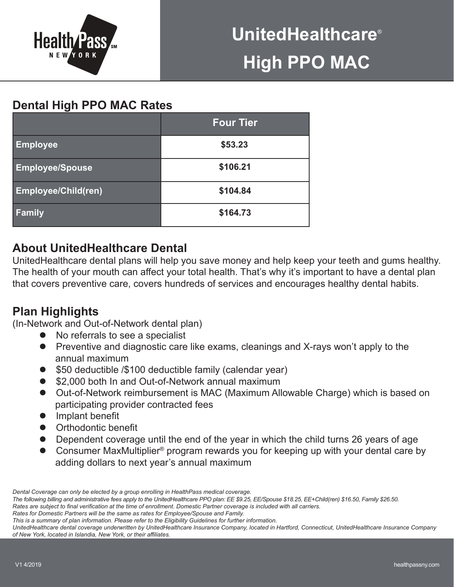

# **Dental High PPO MAC Rates**

|                            | <b>Four Tier</b> |  |  |
|----------------------------|------------------|--|--|
| <b>Employee</b>            | \$53.23          |  |  |
| <b>Employee/Spouse</b>     | \$106.21         |  |  |
| <b>Employee/Child(ren)</b> | \$104.84         |  |  |
| <b>Family</b>              | \$164.73         |  |  |

# **About UnitedHealthcare Dental**

UnitedHealthcare dental plans will help you save money and help keep your teeth and gums healthy. The health of your mouth can affect your total health. That's why it's important to have a dental plan that covers preventive care, covers hundreds of services and encourages healthy dental habits.

# **Plan Highlights**

(In-Network and Out-of-Network dental plan)

- $\bullet$  No referrals to see a specialist
- Preventive and diagnostic care like exams, cleanings and X-rays won't apply to the annual maximum
- \$50 deductible /\$100 deductible family (calendar year)
- \$2,000 both In and Out-of-Network annual maximum
- Out-of-Network reimbursement is MAC (Maximum Allowable Charge) which is based on participating provider contracted fees
- $\bullet$  Implant benefit
- **•** Orthodontic benefit
- Dependent coverage until the end of the year in which the child turns 26 years of age
- Consumer MaxMultiplier<sup>®</sup> program rewards you for keeping up with your dental care by adding dollars to next year's annual maximum

*Dental Coverage can only be elected by a group enrolling in HealthPass medical coverage.*

*The following billing and administrative fees apply to the UnitedHealthcare PPO plan: EE \$9.25, EE/Spouse \$18.25, EE+Child(ren) \$16.50, Family \$26.50. Rates are subject to final verification at the time of enrollment. Domestic Partner coverage is included with all carriers.*

*Rates for Domestic Partners will be the same as rates for Employee/Spouse and Family.* 

*This is a summary of plan information. Please refer to the Eligibility Guidelines for further information.* 

*UnitedHealthcare dental coverage underwritten by UnitedHealthcare Insurance Company, located in Hartford, Connecticut, UnitedHealthcare Insurance Company of New York, located in Islandia, New York, or their affiliates.*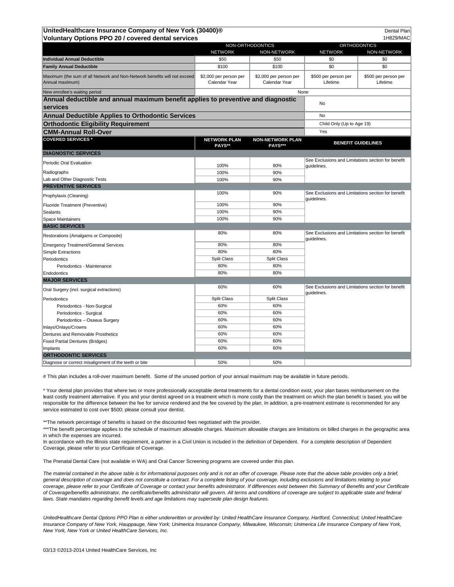03/13 ©2013-2014 United HealthCare Services, Inc

The Prenatal Dental Care (not available in WA) and Oral Cancer Screening programs are covered under this plan.

*The material contained in the above table is for informational purposes only and is not an offer of coverage. Please note that the above table provides only a brief, general description of coverage and does not constitute a contract. For a complete listing of your coverage, including exclusions and limitations relating to your coverage, please refer to your Certificate of Coverage or contact your benefits administrator. If differences exist between this Summary of Benefits and your Certificate of Coverage/benefits administrator, the certificate/benefits administrator will govern. All terms and conditions of coverage are subject to applicable state and federal laws. State mandates regarding benefit levels and age limitations may supersede plan design features.*

\*\*\*The benefit percentage applies to the schedule of maximum allowable charges. Maximum allowable charges are limitations on billed charges in the geographic area in which the expenses are incurred.

In accordance with the Illinois state requirement, a partner in a Civil Union is included in the definition of Dependent. For a complete description of Dependent Coverage, please refer to your Certificate of Coverage.

*UnitedHealthcare Dental Options PPO Plan is either underwritten or provided by: United HealthCare Insurance Company, Hartford, Connecticut; United HealthCare Insurance Company of New York, Hauppauge, New York; Unimerica Insurance Company, Milwaukee, Wisconsin; Unimerica Life Insurance Company of New York, New York, New York or United HealthCare Services, Inc.*

| UnitedHealthcare Insurance Company of New York (30400)®<br><b>Dental Plan</b>                                     |                                         |                                           |                                                                   |                                  |  |
|-------------------------------------------------------------------------------------------------------------------|-----------------------------------------|-------------------------------------------|-------------------------------------------------------------------|----------------------------------|--|
| <b>Voluntary Options PPO 20 / covered dental services</b><br>1H829/MAC<br>NON-ORTHODONTICS<br><b>ORTHODONTICS</b> |                                         |                                           |                                                                   |                                  |  |
|                                                                                                                   | <b>NETWORK</b>                          | NON-NETWORK                               | <b>NETWORK</b>                                                    | NON-NETWORK                      |  |
| <b>Individual Annual Deductible</b>                                                                               | \$50                                    | \$50                                      | \$0                                                               | \$0                              |  |
| <b>Family Annual Deductible</b>                                                                                   | \$100                                   | \$100                                     | \$0                                                               | \$0                              |  |
| Maximum (the sum of all Network and Non-Network benefits will not exceed<br>Annual maximum)                       | \$2,000 per person per<br>Calendar Year | \$2,000 per person per<br>Calendar Year   | \$500 per person per<br>Lifetime                                  | \$500 per person per<br>Lifetime |  |
| New enrollee's waiting period                                                                                     | None                                    |                                           |                                                                   |                                  |  |
| Annual deductible and annual maximum benefit applies to preventive and diagnostic<br><b>services</b>              |                                         |                                           | No                                                                |                                  |  |
| <b>Annual Deductible Applies to Orthodontic Services</b>                                                          |                                         |                                           | No                                                                |                                  |  |
| <b>Orthodontic Eligibility Requirement</b>                                                                        |                                         |                                           | Child Only (Up to Age 19)                                         |                                  |  |
| <b>CMM-Annual Roll-Over</b>                                                                                       | Yes                                     |                                           |                                                                   |                                  |  |
| <b>COVERED SERVICES *</b>                                                                                         | <b>NETWORK PLAN</b><br>PAYS**           | <b>NON-NETWORK PLAN</b><br><b>PAYS***</b> |                                                                   | <b>BENEFIT GUIDELINES</b>        |  |
| <b>DIAGNOSTIC SERVICES</b>                                                                                        |                                         |                                           |                                                                   |                                  |  |
| Periodic Oral Evaluation                                                                                          |                                         |                                           | See Exclusions and Limitations section for benefit<br>guidelines. |                                  |  |
|                                                                                                                   | 100%                                    | 90%                                       |                                                                   |                                  |  |
| Radiographs                                                                                                       | 100%                                    | 90%                                       |                                                                   |                                  |  |
| Lab and Other Diagnostic Tests                                                                                    | 100%                                    | 90%                                       |                                                                   |                                  |  |
| <b>PREVENTIVE SERVICES</b>                                                                                        |                                         |                                           |                                                                   |                                  |  |
| Prophylaxis (Cleaning)                                                                                            | 100%                                    | 90%                                       | See Exclusions and Limitations section for benefit<br>guidelines. |                                  |  |
| Fluoride Treatment (Preventive)                                                                                   | 100%                                    | 90%                                       |                                                                   |                                  |  |
| Sealants                                                                                                          | 100%                                    | 90%                                       |                                                                   |                                  |  |
| Space Maintainers                                                                                                 | 100%                                    | 90%                                       |                                                                   |                                  |  |
| <b>BASIC SERVICES</b>                                                                                             |                                         |                                           |                                                                   |                                  |  |
| Restorations (Amalgams or Composite)                                                                              | 80%                                     | 80%                                       | See Exclusions and Limitations section for benefit<br>guidelines. |                                  |  |
| Emergency Treatment/General Services                                                                              | 80%                                     | 80%                                       |                                                                   |                                  |  |
| Simple Extractions                                                                                                | 80%                                     | 80%                                       |                                                                   |                                  |  |
| Periodontics                                                                                                      | <b>Split Class</b>                      | <b>Split Class</b>                        |                                                                   |                                  |  |
| Periodontics - Maintenance                                                                                        | 80%                                     | 80%                                       |                                                                   |                                  |  |
| Endodontics                                                                                                       | 80%                                     | 80%                                       |                                                                   |                                  |  |
| <b>MAJOR SERVICES</b>                                                                                             |                                         |                                           |                                                                   |                                  |  |
| Oral Surgery (incl. surgical extractions)                                                                         | 60%                                     | 60%                                       | See Exclusions and Limitations section for benefit<br>guidelines. |                                  |  |
| Periodontics                                                                                                      | <b>Split Class</b>                      | <b>Split Class</b>                        |                                                                   |                                  |  |
| Periodontics - Non-Surgical                                                                                       | 60%                                     | 60%                                       |                                                                   |                                  |  |
| Periodontics - Surgical                                                                                           | 60%                                     | 60%                                       |                                                                   |                                  |  |
| Periodontics - Osseus Surgery                                                                                     | 60%                                     | 60%                                       |                                                                   |                                  |  |
| Inlays/Onlays/Crowns                                                                                              | 60%                                     | 60%                                       |                                                                   |                                  |  |
| Dentures and Removable Prosthetics                                                                                | 60%                                     | 60%                                       |                                                                   |                                  |  |
| <b>Fixed Partial Dentures (Bridges)</b>                                                                           | 60%                                     | 60%                                       |                                                                   |                                  |  |
| Implants                                                                                                          | 60%                                     | 60%                                       |                                                                   |                                  |  |
| <b>ORTHODONTIC SERVICES</b>                                                                                       |                                         |                                           |                                                                   |                                  |  |
| Diagnose or correct misalignment of the teeth or bite                                                             | 50%                                     | 50%                                       |                                                                   |                                  |  |

# This plan includes a roll-over maximum benefit. Some of the unused portion of your annual maximum may be available in future periods.

\* Your dental plan provides that where two or more professionally acceptable dental treatments for a dental condition exist, your plan bases reimbursement on the least costly treatment alternative. If you and your dentist agreed on a treatment which is more costly than the treatment on which the plan benefit is based, you will be responsible for the difference between the fee for service rendered and the fee covered by the plan. In addition, a pre-treatment estimate is recommended for any

service estimated to cost over \$500; please consult your dentist.

\*\* The network percentage of benefits is based on the discounted fees negotiated with the provider.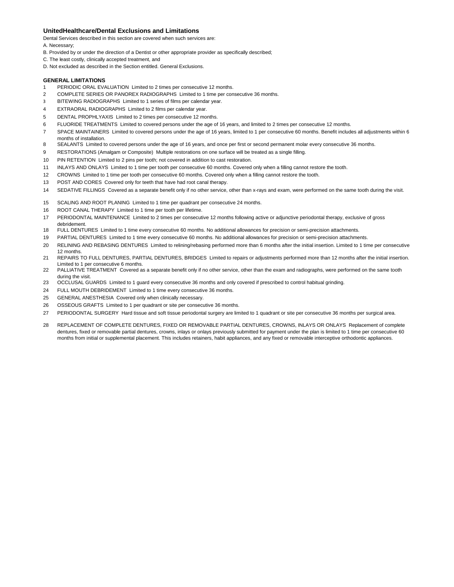## **UnitedHealthcare/Dental Exclusions and Limitations**

Dental Services described in this section are covered when such services are:

### A. Necessary;

- B. Provided by or under the direction of a Dentist or other appropriate provider as specifically described;
- C. The least costly, clinically accepted treatment, and
- D. Not excluded as described in the Section entitled. General Exclusions.

### **GENERAL LIMITATIONS**

- 1 PERIODIC ORAL EVALUATION Limited to 2 times per consecutive 12 months.
- 2 COMPLETE SERIES OR PANOREX RADIOGRAPHS Limited to 1 time per consecutive 36 months.
- 3 BITEWING RADIOGRAPHS Limited to 1 series of films per calendar year.
- 4 EXTRAORAL RADIOGRAPHS Limited to 2 films per calendar year.
- 5 DENTAL PROPHLYAXIS Limited to 2 times per consecutive 12 months.
- 6 FLUORIDE TREATMENTS Limited to covered persons under the age of 16 years, and limited to 2 times per consecutive 12 months.
- 7 SPACE MAINTAINERS Limited to covered persons under the age of 16 years, limited to 1 per consecutive 60 months. Benefit includes all adjustments within 6 months of installation.
- 8 SEALANTS Limited to covered persons under the age of 16 years, and once per first or second permanent molar every consecutive 36 months.
- 9 RESTORATIONS (Amalgam or Composite) Multiple restorations on one surface will be treated as a single filling.
- 10 PIN RETENTION Limited to 2 pins per tooth; not covered in addition to cast restoration.
- 11 INLAYS AND ONLAYS Limited to 1 time per tooth per consecutive 60 months. Covered only when a filling cannot restore the tooth.
- 12 CROWNS Limited to 1 time per tooth per consecutive 60 months. Covered only when a filling cannot restore the tooth.
- 13 POST AND CORES Covered only for teeth that have had root canal therapy.
- 14 SEDATIVE FILLINGS Covered as a separate benefit only if no other service, other than x-rays and exam, were performed on the same tooth during the visit.
- 15 SCALING AND ROOT PLANING Limited to 1 time per quadrant per consecutive 24 months.
- 16 ROOT CANAL THERAPY Limited to 1 time per tooth per lifetime.
- 17 PERIODONTAL MAINTENANCE Limited to 2 times per consecutive 12 months following active or adjunctive periodontal therapy, exclusive of gross debridement.
- 18 FULL DENTURES Limited to 1 time every consecutive 60 months. No additional allowances for precision or semi-precision attachments.
- 19 PARTIAL DENTURES Limited to 1 time every consecutive 60 months. No additional allowances for precision or semi-precision attachments.
- 20 RELINING AND REBASING DENTURES Limited to relining/rebasing performed more than 6 months after the initial insertion. Limited to 1 time per consecutive 12 months.
- 21 REPAIRS TO FULL DENTURES, PARTIAL DENTURES, BRIDGES Limited to repairs or adjustments performed more than 12 months after the initial insertion. Limited to 1 per consecutive 6 months.
- 22 PALLIATIVE TREATMENT Covered as a separate benefit only if no other service, other than the exam and radiographs, were performed on the same tooth during the visit.
- 23 OCCLUSAL GUARDS Limited to 1 guard every consecutive 36 months and only covered if prescribed to control habitual grinding.
- 24 FULL MOUTH DEBRIDEMENT Limited to 1 time every consecutive 36 months.
- 25 GENERAL ANESTHESIA Covered only when clinically necessary.
- 26 OSSEOUS GRAFTS Limited to 1 per quadrant or site per consecutive 36 months.
- 27 PERIODONTAL SURGERY Hard tissue and soft tissue periodontal surgery are limited to 1 quadrant or site per consecutive 36 months per surgical area.
- 28 REPLACEMENT OF COMPLETE DENTURES, FIXED OR REMOVABLE PARTIAL DENTURES, CROWNS, INLAYS OR ONLAYS Replacement of complete dentures, fixed or removable partial dentures, crowns, inlays or onlays previously submitted for payment under the plan is limited to 1 time per consecutive 60 months from initial or supplemental placement. This includes retainers, habit appliances, and any fixed or removable interceptive orthodontic appliances.